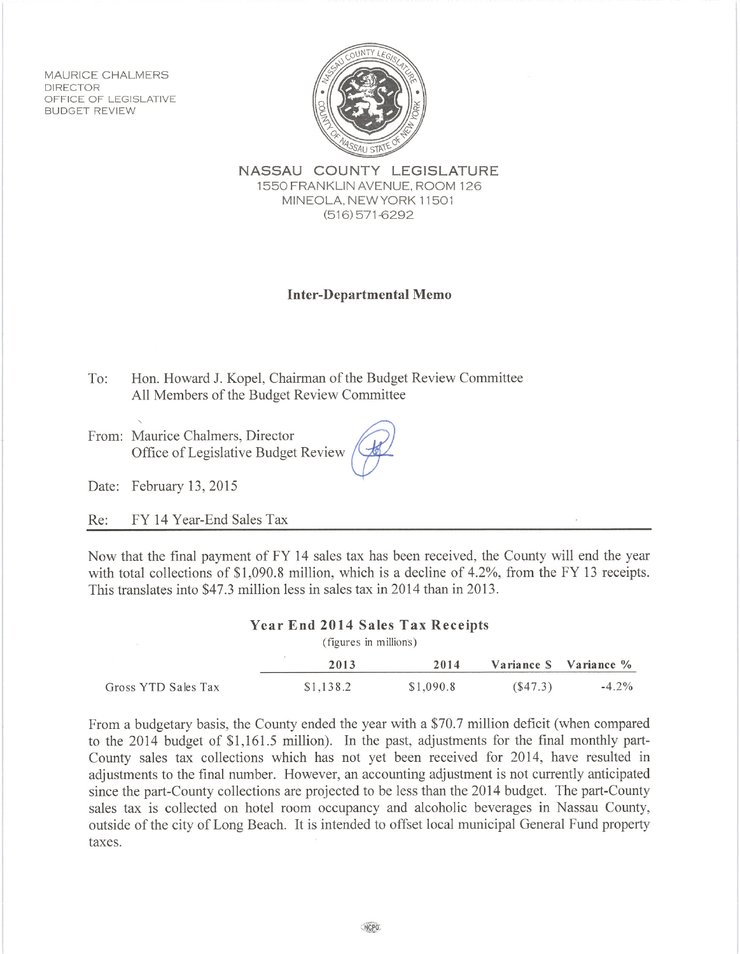MAURICE CHALMERS **DIRECTOR** OFFICE OF LEGISLATIVE **BUDGET REVIEW** 



NASSAU COUNTY LEGISLATURE 1550 FRANKLIN AVENUE, ROOM 126 MINEOLA, NEW YORK 11501  $(516)$  571-6292

## **Inter-Departmental Memo**

To: Hon. Howard J. Kopel, Chairman of the Budget Review Committee All Members of the Budget Review Committee

From: Maurice Chalmers, Director Office of Legislative Budget Review

Date: February 13, 2015

FY 14 Year-End Sales Tax Re:

Now that the final payment of FY 14 sales tax has been received, the County will end the year with total collections of  $$1,090.8$  million, which is a decline of  $4.2\%$ , from the FY 13 receipts. This translates into \$47.3 million less in sales tax in 2014 than in 2013.

## **Year End 2014 Sales Tax Receipts**

(figures in millions)

|                     | 2013      | 2014      |         | Variance S Variance % |
|---------------------|-----------|-----------|---------|-----------------------|
| Gross YTD Sales Tax | \$1,138.2 | \$1,090.8 | (S47.3) | $-4.2\%$              |

From a budgetary basis, the County ended the year with a \$70.7 million deficit (when compared to the 2014 budget of \$1,161.5 million). In the past, adjustments for the final monthly part-County sales tax collections which has not yet been received for 2014, have resulted in adjustments to the final number. However, an accounting adjustment is not currently anticipated since the part-County collections are projected to be less than the 2014 budget. The part-County sales tax is collected on hotel room occupancy and alcoholic beverages in Nassau County, outside of the city of Long Beach. It is intended to offset local municipal General Fund property taxes.